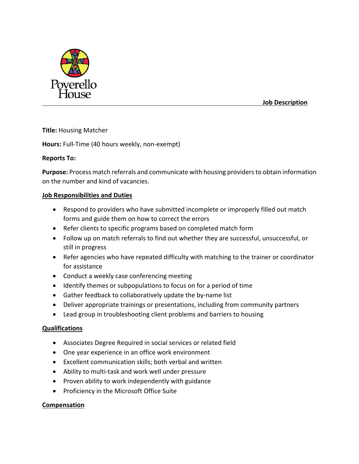

 **Job Description**

# **Title:** Housing Matcher

**Hours:** Full-Time (40 hours weekly, non-exempt)

# **Reports To:**

**Purpose:** Process match referrals and communicate with housing providers to obtain information on the number and kind of vacancies.

# **Job Responsibilities and Duties**

- Respond to providers who have submitted incomplete or improperly filled out match forms and guide them on how to correct the errors
- Refer clients to specific programs based on completed match form
- Follow up on match referrals to find out whether they are successful, unsuccessful, or still in progress
- Refer agencies who have repeated difficulty with matching to the trainer or coordinator for assistance
- Conduct a weekly case conferencing meeting
- Identify themes or subpopulations to focus on for a period of time
- Gather feedback to collaboratively update the by-name list
- Deliver appropriate trainings or presentations, including from community partners
- Lead group in troubleshooting client problems and barriers to housing

# **Qualifications**

- Associates Degree Required in social services or related field
- One year experience in an office work environment
- Excellent communication skills; both verbal and written
- Ability to multi-task and work well under pressure
- Proven ability to work independently with guidance
- Proficiency in the Microsoft Office Suite

# **Compensation**